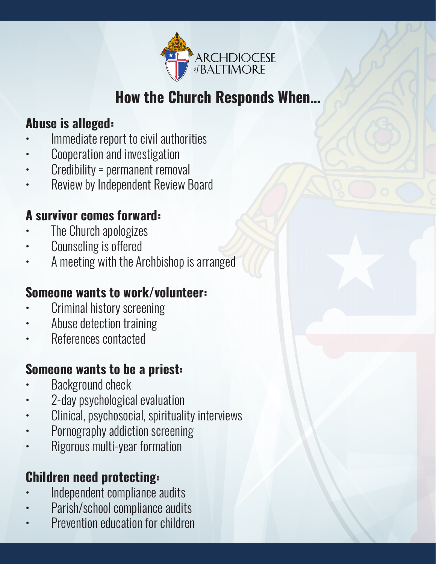

#### **How the Church Responds When…**

#### **Abuse is alleged:**

- Immediate report to civil authorities
- Cooperation and investigation
- Credibility = permanent removal
- Review by Independent Review Board

#### **A survivor comes forward:**

- The Church apologizes
- Counseling is offered
- A meeting with the Archbishop is arranged

#### **Someone wants to work/volunteer:**

- Criminal history screening
- Abuse detection training
- References contacted

#### **Someone wants to be a priest:**

- Background check
- 2-day psychological evaluation
- Clinical, psychosocial, spirituality interviews
- Pornography addiction screening
- Rigorous multi-year formation

#### **Children need protecting:**

- Independent compliance audits
- Parish/school compliance audits
- Prevention education for children